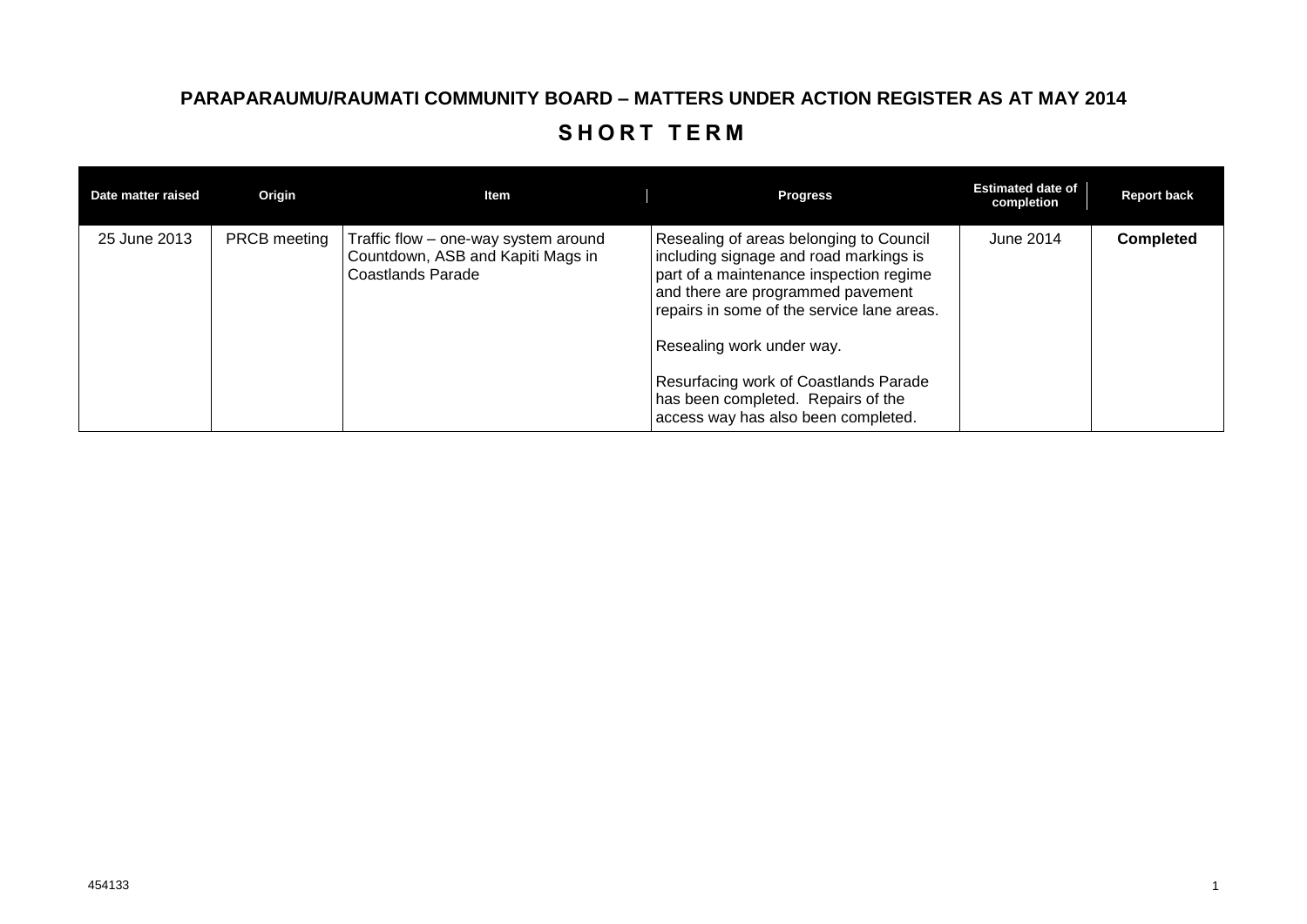## **PARAPARAUMU/RAUMATI COMMUNITY BOARD – MATTERS UNDER ACTION REGISTER AS AT MAY 2014** SHORT TERM

| Date matter raised | Origin              | Item                                                                                                  | <b>Progress</b>                                                                                                                                                                                                                                                                                                                                                    | <b>Estimated date of</b><br>completion | <b>Report back</b> |
|--------------------|---------------------|-------------------------------------------------------------------------------------------------------|--------------------------------------------------------------------------------------------------------------------------------------------------------------------------------------------------------------------------------------------------------------------------------------------------------------------------------------------------------------------|----------------------------------------|--------------------|
| 25 June 2013       | <b>PRCB</b> meeting | Traffic flow – one-way system around<br>Countdown, ASB and Kapiti Mags in<br><b>Coastlands Parade</b> | Resealing of areas belonging to Council<br>including signage and road markings is<br>part of a maintenance inspection regime<br>and there are programmed pavement<br>repairs in some of the service lane areas.<br>Resealing work under way.<br>Resurfacing work of Coastlands Parade<br>has been completed. Repairs of the<br>access way has also been completed. | June 2014                              | <b>Completed</b>   |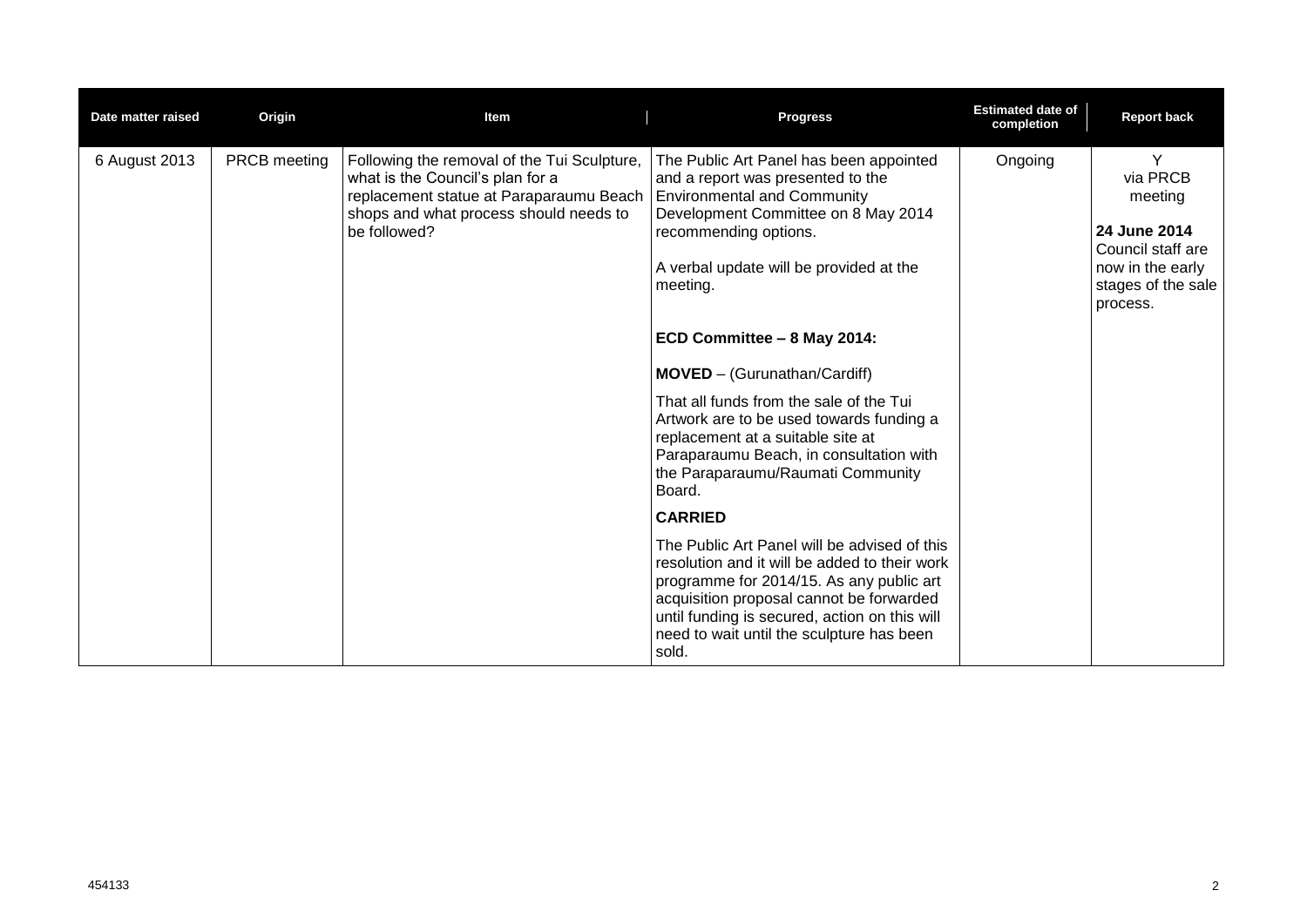| Date matter raised | Origin       | Item                                                                                                                                                                                 | <b>Progress</b>                                                                                                                                                                                                                                                                                                                                                                                                                                                                                                                                                                                                                                                                                                                                                                                                                                | <b>Estimated date of</b><br>completion | <b>Report back</b>                                                                                                  |
|--------------------|--------------|--------------------------------------------------------------------------------------------------------------------------------------------------------------------------------------|------------------------------------------------------------------------------------------------------------------------------------------------------------------------------------------------------------------------------------------------------------------------------------------------------------------------------------------------------------------------------------------------------------------------------------------------------------------------------------------------------------------------------------------------------------------------------------------------------------------------------------------------------------------------------------------------------------------------------------------------------------------------------------------------------------------------------------------------|----------------------------------------|---------------------------------------------------------------------------------------------------------------------|
| 6 August 2013      | PRCB meeting | Following the removal of the Tui Sculpture,<br>what is the Council's plan for a<br>replacement statue at Paraparaumu Beach<br>shops and what process should needs to<br>be followed? | The Public Art Panel has been appointed<br>and a report was presented to the<br><b>Environmental and Community</b><br>Development Committee on 8 May 2014<br>recommending options.<br>A verbal update will be provided at the<br>meeting.<br>ECD Committee - 8 May 2014:<br><b>MOVED</b> - (Gurunathan/Cardiff)<br>That all funds from the sale of the Tui<br>Artwork are to be used towards funding a<br>replacement at a suitable site at<br>Paraparaumu Beach, in consultation with<br>the Paraparaumu/Raumati Community<br>Board.<br><b>CARRIED</b><br>The Public Art Panel will be advised of this<br>resolution and it will be added to their work<br>programme for 2014/15. As any public art<br>acquisition proposal cannot be forwarded<br>until funding is secured, action on this will<br>need to wait until the sculpture has been | Ongoing                                | Υ<br>via PRCB<br>meeting<br>24 June 2014<br>Council staff are<br>now in the early<br>stages of the sale<br>process. |
|                    |              |                                                                                                                                                                                      | sold.                                                                                                                                                                                                                                                                                                                                                                                                                                                                                                                                                                                                                                                                                                                                                                                                                                          |                                        |                                                                                                                     |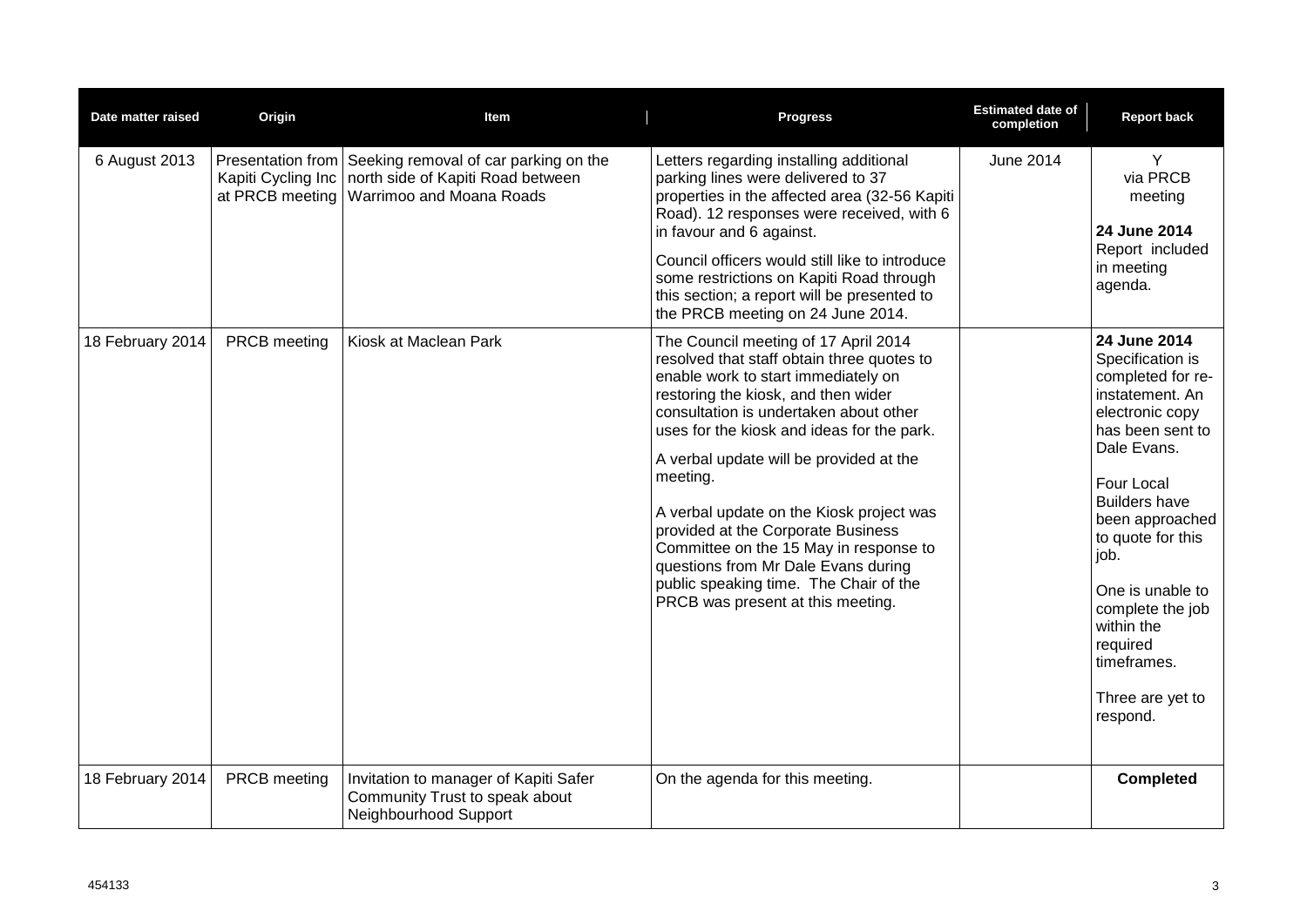| Date matter raised | Origin                                | <b>Item</b>                                                                                                              | <b>Progress</b>                                                                                                                                                                                                                                                                                                                                                                                                                                                                                                                                                   | <b>Estimated date of</b><br>completion | <b>Report back</b>                                                                                                                                                                                                                                                                                                                    |
|--------------------|---------------------------------------|--------------------------------------------------------------------------------------------------------------------------|-------------------------------------------------------------------------------------------------------------------------------------------------------------------------------------------------------------------------------------------------------------------------------------------------------------------------------------------------------------------------------------------------------------------------------------------------------------------------------------------------------------------------------------------------------------------|----------------------------------------|---------------------------------------------------------------------------------------------------------------------------------------------------------------------------------------------------------------------------------------------------------------------------------------------------------------------------------------|
| 6 August 2013      | Kapiti Cycling Inc<br>at PRCB meeting | Presentation from Seeking removal of car parking on the<br>north side of Kapiti Road between<br>Warrimoo and Moana Roads | Letters regarding installing additional<br>parking lines were delivered to 37<br>properties in the affected area (32-56 Kapiti<br>Road). 12 responses were received, with 6<br>in favour and 6 against.<br>Council officers would still like to introduce<br>some restrictions on Kapiti Road through<br>this section; a report will be presented to<br>the PRCB meeting on 24 June 2014.                                                                                                                                                                         | <b>June 2014</b>                       | Y<br>via PRCB<br>meeting<br>24 June 2014<br>Report included<br>in meeting<br>agenda.                                                                                                                                                                                                                                                  |
| 18 February 2014   | <b>PRCB</b> meeting                   | Kiosk at Maclean Park                                                                                                    | The Council meeting of 17 April 2014<br>resolved that staff obtain three quotes to<br>enable work to start immediately on<br>restoring the kiosk, and then wider<br>consultation is undertaken about other<br>uses for the kiosk and ideas for the park.<br>A verbal update will be provided at the<br>meeting.<br>A verbal update on the Kiosk project was<br>provided at the Corporate Business<br>Committee on the 15 May in response to<br>questions from Mr Dale Evans during<br>public speaking time. The Chair of the<br>PRCB was present at this meeting. |                                        | 24 June 2014<br>Specification is<br>completed for re-<br>instatement. An<br>electronic copy<br>has been sent to<br>Dale Evans.<br>Four Local<br><b>Builders have</b><br>been approached<br>to quote for this<br>job.<br>One is unable to<br>complete the job<br>within the<br>required<br>timeframes.<br>Three are yet to<br>respond. |
| 18 February 2014   | PRCB meeting                          | Invitation to manager of Kapiti Safer<br>Community Trust to speak about<br>Neighbourhood Support                         | On the agenda for this meeting.                                                                                                                                                                                                                                                                                                                                                                                                                                                                                                                                   |                                        | <b>Completed</b>                                                                                                                                                                                                                                                                                                                      |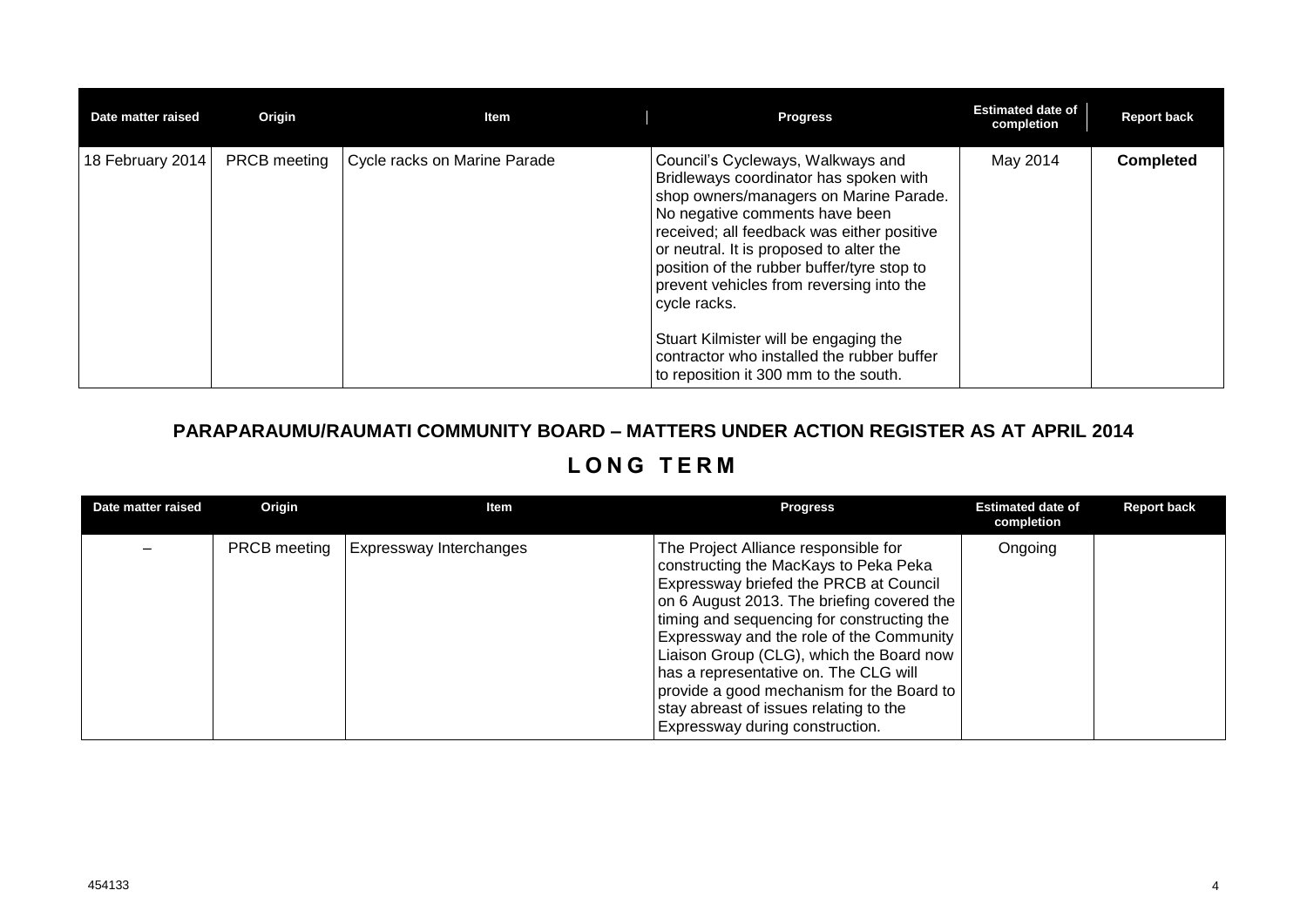| Date matter raised | Origin              | Item                         | <b>Progress</b>                                                                                                                                                                                                                                                                                                                                                                                                                                                                            | <b>Estimated date of</b><br>completion | <b>Report back</b> |
|--------------------|---------------------|------------------------------|--------------------------------------------------------------------------------------------------------------------------------------------------------------------------------------------------------------------------------------------------------------------------------------------------------------------------------------------------------------------------------------------------------------------------------------------------------------------------------------------|----------------------------------------|--------------------|
| 18 February 2014   | <b>PRCB</b> meeting | Cycle racks on Marine Parade | Council's Cycleways, Walkways and<br>Bridleways coordinator has spoken with<br>shop owners/managers on Marine Parade.<br>No negative comments have been<br>received; all feedback was either positive<br>or neutral. It is proposed to alter the<br>position of the rubber buffer/tyre stop to<br>prevent vehicles from reversing into the<br>cycle racks.<br>Stuart Kilmister will be engaging the<br>contractor who installed the rubber buffer<br>to reposition it 300 mm to the south. | May 2014                               | <b>Completed</b>   |

## **PARAPARAUMU/RAUMATI COMMUNITY BOARD – MATTERS UNDER ACTION REGISTER AS AT APRIL 2014 L O N G T E R M**

| Date matter raised | Origin | ltem                                          | <b>Progress</b>                                                                                                                                                                                                                                                                                                                                                                                                                                                                | <b>Estimated date of</b><br>completion | <b>Report back</b> |
|--------------------|--------|-----------------------------------------------|--------------------------------------------------------------------------------------------------------------------------------------------------------------------------------------------------------------------------------------------------------------------------------------------------------------------------------------------------------------------------------------------------------------------------------------------------------------------------------|----------------------------------------|--------------------|
|                    |        | <b>PRCB meeting   Expressway Interchanges</b> | The Project Alliance responsible for<br>constructing the MacKays to Peka Peka<br>Expressway briefed the PRCB at Council<br>on 6 August 2013. The briefing covered the<br>timing and sequencing for constructing the<br>Expressway and the role of the Community<br>Liaison Group (CLG), which the Board now<br>has a representative on. The CLG will<br>provide a good mechanism for the Board to<br>stay abreast of issues relating to the<br>Expressway during construction. | Ongoing                                |                    |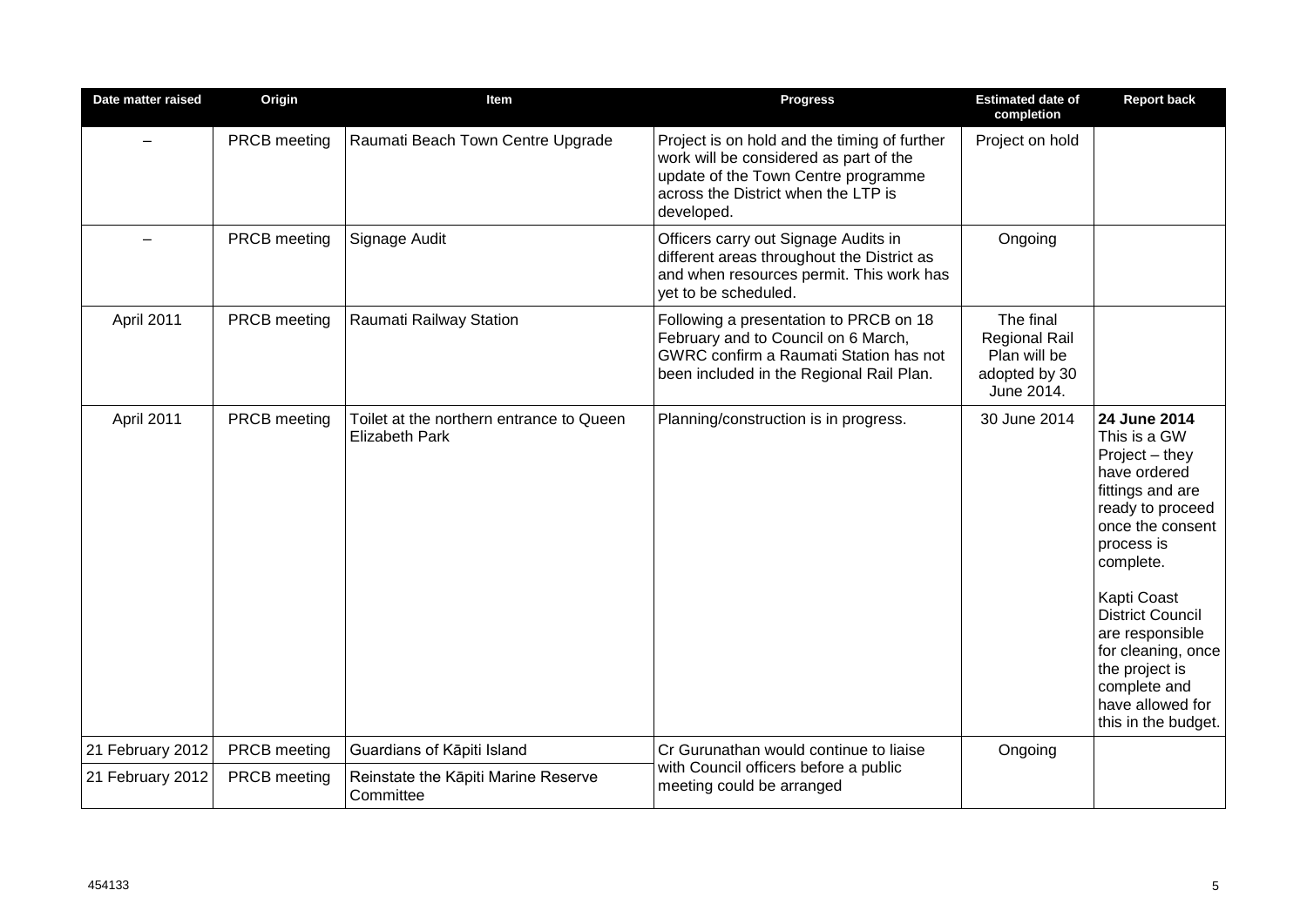| Date matter raised | Origin              | Item                                                              | <b>Progress</b>                                                                                                                                                                    | <b>Estimated date of</b><br>completion                                           | <b>Report back</b>                                                                                                                                                                                                                                                                                                           |
|--------------------|---------------------|-------------------------------------------------------------------|------------------------------------------------------------------------------------------------------------------------------------------------------------------------------------|----------------------------------------------------------------------------------|------------------------------------------------------------------------------------------------------------------------------------------------------------------------------------------------------------------------------------------------------------------------------------------------------------------------------|
|                    | PRCB meeting        | Raumati Beach Town Centre Upgrade                                 | Project is on hold and the timing of further<br>work will be considered as part of the<br>update of the Town Centre programme<br>across the District when the LTP is<br>developed. | Project on hold                                                                  |                                                                                                                                                                                                                                                                                                                              |
|                    | PRCB meeting        | Signage Audit                                                     | Officers carry out Signage Audits in<br>different areas throughout the District as<br>and when resources permit. This work has<br>vet to be scheduled.                             | Ongoing                                                                          |                                                                                                                                                                                                                                                                                                                              |
| April 2011         | PRCB meeting        | Raumati Railway Station                                           | Following a presentation to PRCB on 18<br>February and to Council on 6 March,<br>GWRC confirm a Raumati Station has not<br>been included in the Regional Rail Plan.                | The final<br><b>Regional Rail</b><br>Plan will be<br>adopted by 30<br>June 2014. |                                                                                                                                                                                                                                                                                                                              |
| April 2011         | PRCB meeting        | Toilet at the northern entrance to Queen<br><b>Elizabeth Park</b> | Planning/construction is in progress.                                                                                                                                              | 30 June 2014                                                                     | 24 June 2014<br>This is a GW<br>Project - they<br>have ordered<br>fittings and are<br>ready to proceed<br>once the consent<br>process is<br>complete.<br><b>Kapti Coast</b><br><b>District Council</b><br>are responsible<br>for cleaning, once<br>the project is<br>complete and<br>have allowed for<br>this in the budget. |
| 21 February 2012   | <b>PRCB</b> meeting | Guardians of Kāpiti Island                                        | Cr Gurunathan would continue to liaise                                                                                                                                             | Ongoing                                                                          |                                                                                                                                                                                                                                                                                                                              |
| 21 February 2012   | PRCB meeting        | Reinstate the Kāpiti Marine Reserve<br>Committee                  | with Council officers before a public<br>meeting could be arranged                                                                                                                 |                                                                                  |                                                                                                                                                                                                                                                                                                                              |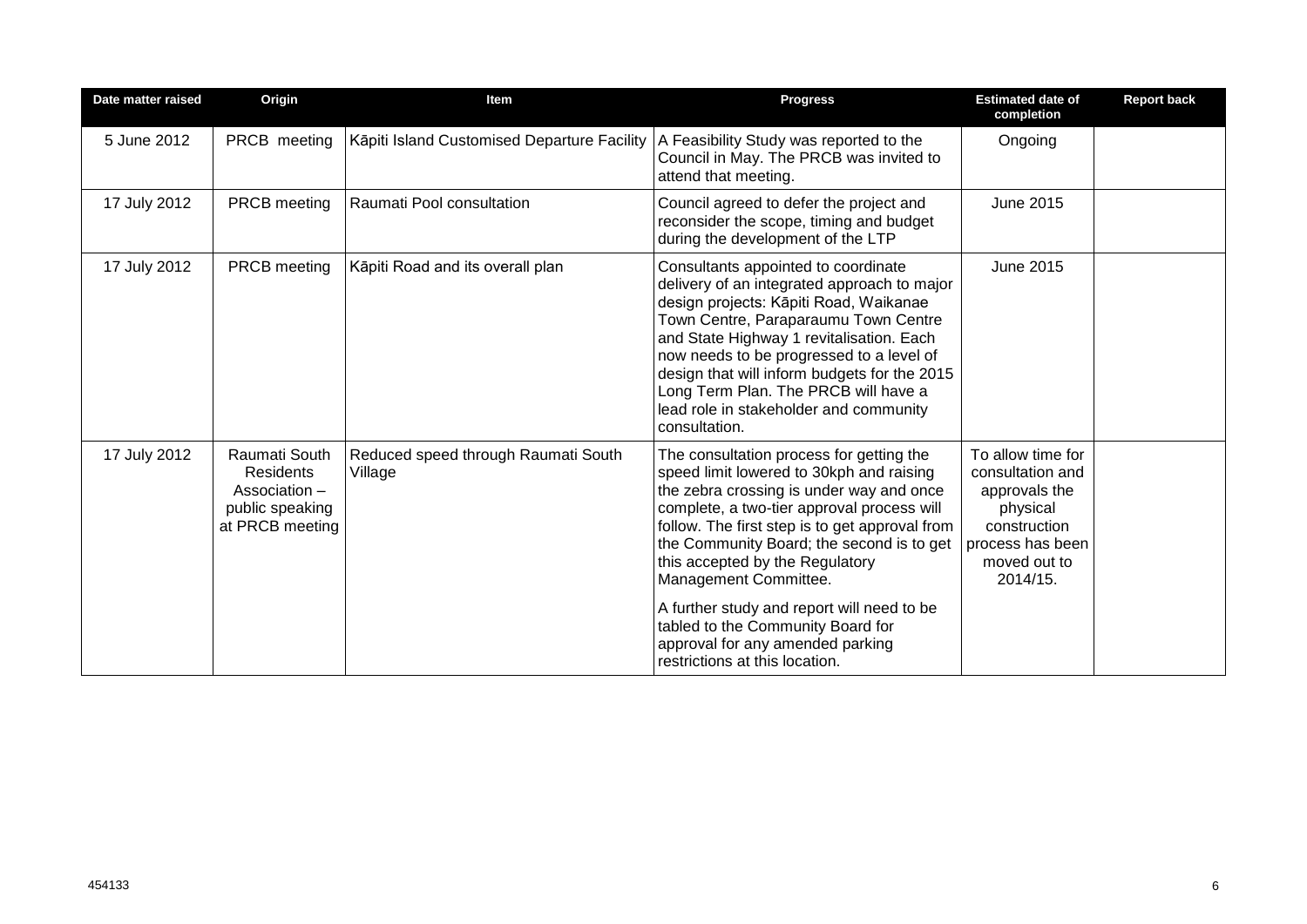| Date matter raised | Origin                                                                                   | Item                                           | <b>Progress</b>                                                                                                                                                                                                                                                                                                                                                                                                 | <b>Estimated date of</b><br>completion                                                                                             | <b>Report back</b> |
|--------------------|------------------------------------------------------------------------------------------|------------------------------------------------|-----------------------------------------------------------------------------------------------------------------------------------------------------------------------------------------------------------------------------------------------------------------------------------------------------------------------------------------------------------------------------------------------------------------|------------------------------------------------------------------------------------------------------------------------------------|--------------------|
| 5 June 2012        | PRCB meeting                                                                             | Kāpiti Island Customised Departure Facility    | A Feasibility Study was reported to the<br>Council in May. The PRCB was invited to<br>attend that meeting.                                                                                                                                                                                                                                                                                                      | Ongoing                                                                                                                            |                    |
| 17 July 2012       | <b>PRCB</b> meeting                                                                      | Raumati Pool consultation                      | Council agreed to defer the project and<br>reconsider the scope, timing and budget<br>during the development of the LTP                                                                                                                                                                                                                                                                                         | <b>June 2015</b>                                                                                                                   |                    |
| 17 July 2012       | PRCB meeting                                                                             | Kāpiti Road and its overall plan               | Consultants appointed to coordinate<br>delivery of an integrated approach to major<br>design projects: Kāpiti Road, Waikanae<br>Town Centre, Paraparaumu Town Centre<br>and State Highway 1 revitalisation. Each<br>now needs to be progressed to a level of<br>design that will inform budgets for the 2015<br>Long Term Plan. The PRCB will have a<br>lead role in stakeholder and community<br>consultation. | <b>June 2015</b>                                                                                                                   |                    |
| 17 July 2012       | Raumati South<br><b>Residents</b><br>Association -<br>public speaking<br>at PRCB meeting | Reduced speed through Raumati South<br>Village | The consultation process for getting the<br>speed limit lowered to 30kph and raising<br>the zebra crossing is under way and once<br>complete, a two-tier approval process will<br>follow. The first step is to get approval from<br>the Community Board; the second is to get<br>this accepted by the Regulatory<br>Management Committee.                                                                       | To allow time for<br>consultation and<br>approvals the<br>physical<br>construction<br>process has been<br>moved out to<br>2014/15. |                    |
|                    |                                                                                          |                                                | A further study and report will need to be<br>tabled to the Community Board for<br>approval for any amended parking<br>restrictions at this location.                                                                                                                                                                                                                                                           |                                                                                                                                    |                    |